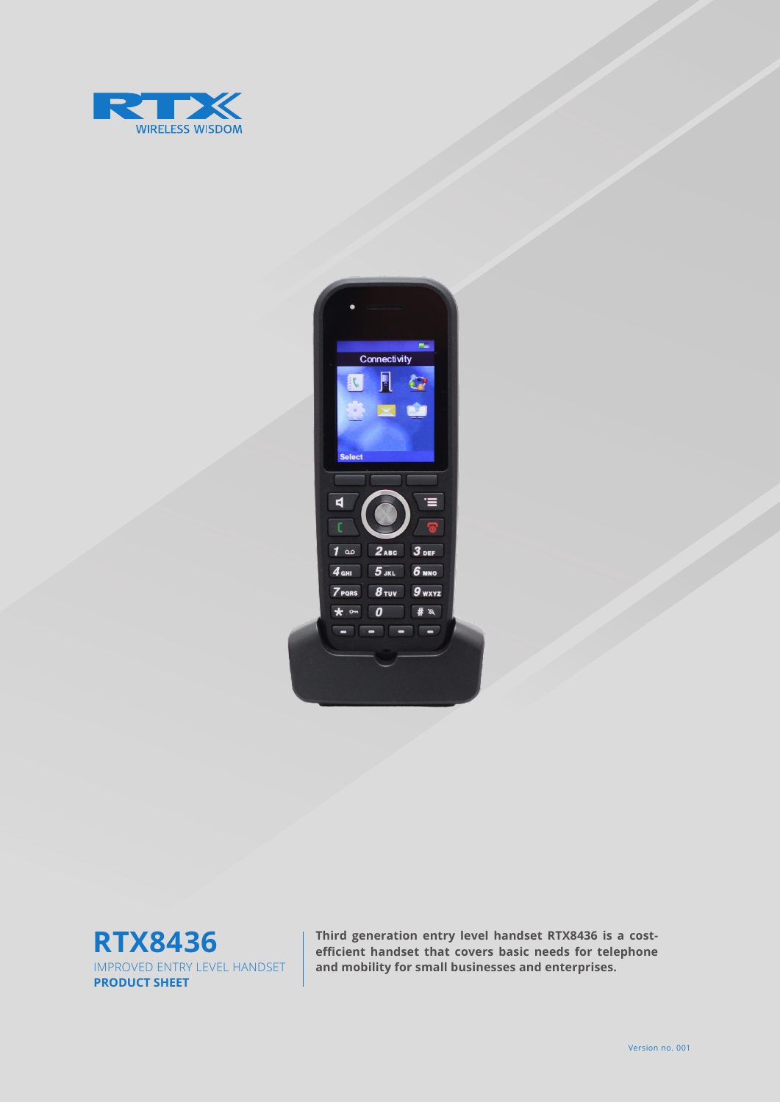





**Third generation entry level handset RTX8436 is a costefficient handset that covers basic needs for telephone and mobility for small businesses and enterprises.**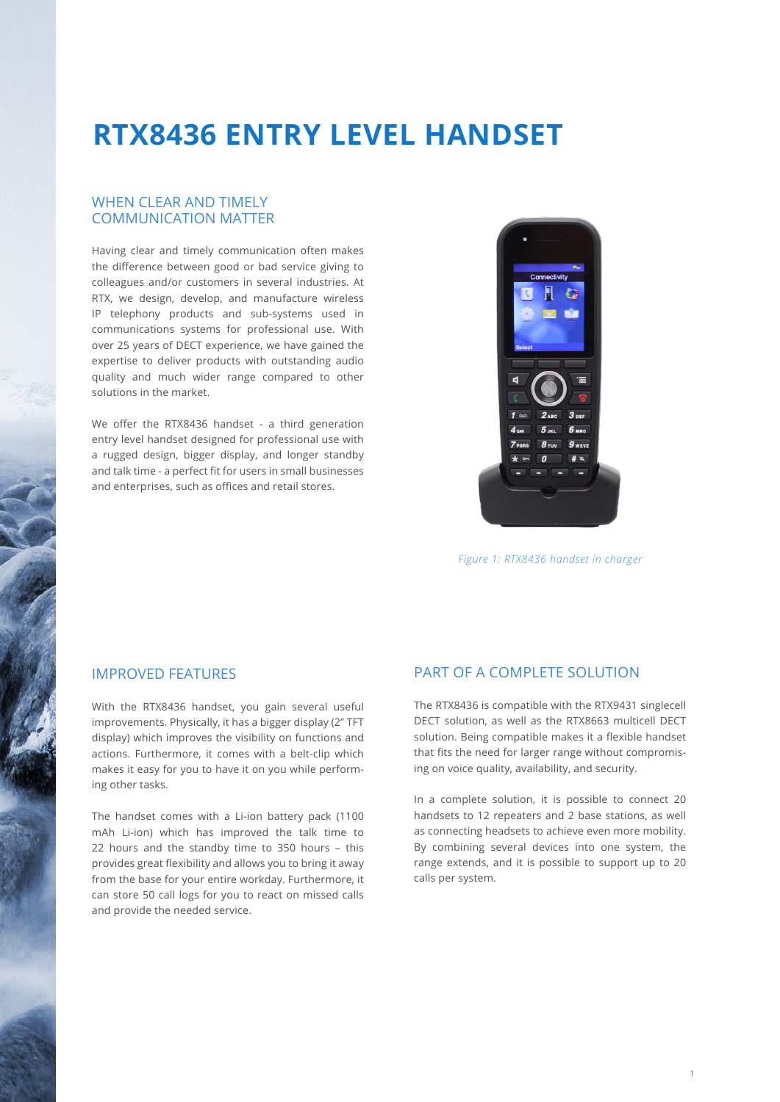### **RTX8436 ENTRY LEVEL HANDSET**

#### WHEN CLEAR AND TIMELY COMMUNICATION MATTER

Having clear and timely communication often makes the difference between good or bad service giving to colleagues and/or customers in several industries. At RTX, we design, develop, and manufacture wireless IP telephony products and sub-systems used in communications systems for professional use. With over 25 years of DECT experience, we have gained the expertise to deliver products with outstanding audio quality and much wider range compared to other solutions in the market.

We offer the RTX8436 handset - a third generation entry level handset designed for professional use with a rugged design, bigger display, and longer standby and talk time - a perfect fit for users in small businesses and enterprises, such as offices and retail stores.



*Figure 1: RTX8436 handset in charger*

### IMPROVED FEATURES

With the RTX8436 handset, you gain several useful improvements. Physically, it has a bigger display (2" TFT display) which improves the visibility on functions and actions. Furthermore, it comes with a belt-clip which makes it easy for you to have it on you while performing other tasks.

The handset comes with a Li-ion battery pack (1100 mAh Li-ion) which has improved the talk time to 22 hours and the standby time to 350 hours – this provides great flexibility and allows you to bring it away from the base for your entire workday. Furthermore, it can store 50 call logs for you to react on missed calls and provide the needed service.

#### PART OF A COMPLETE SOLUTION

The RTX8436 is compatible with the RTX9431 singlecell DECT solution, as well as the RTX8663 multicell DECT solution. Being compatible makes it a flexible handset that fits the need for larger range without compromising on voice quality, availability, and security.

In a complete solution, it is possible to connect 20 handsets to 12 repeaters and 2 base stations, as well as connecting headsets to achieve even more mobility. By combining several devices into one system, the range extends, and it is possible to support up to 20 calls per system.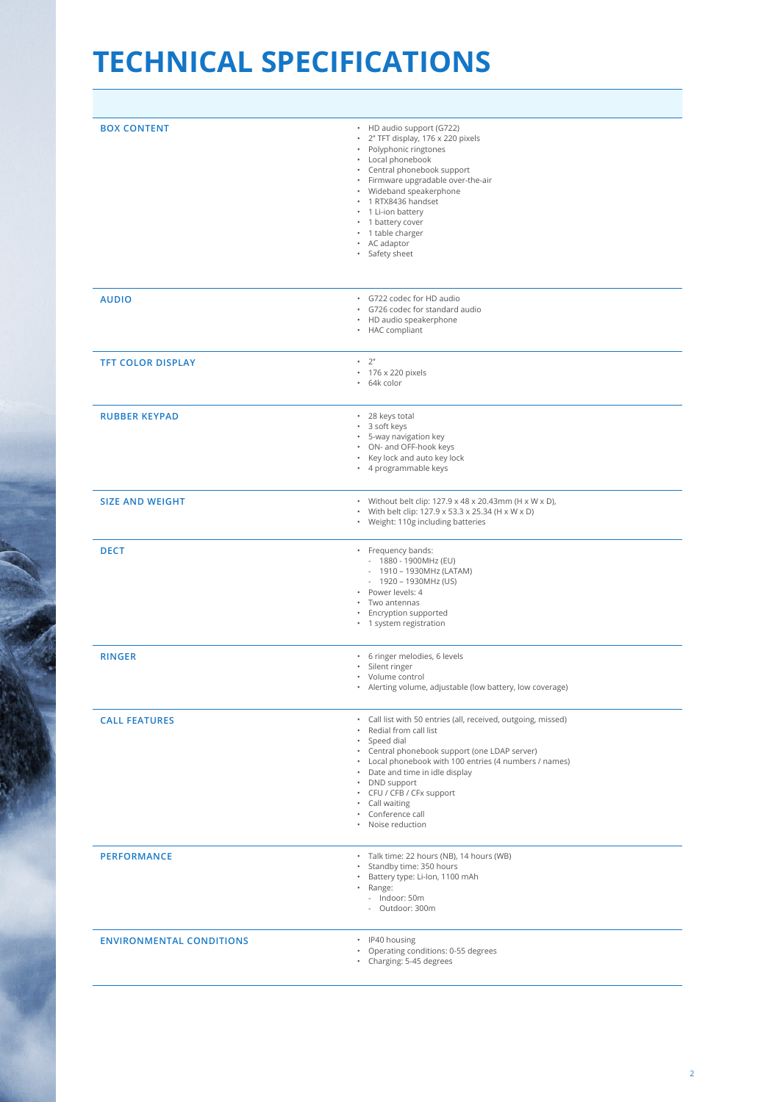# **TECHNICAL SPECIFICATIONS**

| <b>BOX CONTENT</b>              | • HD audio support (G722)<br>· 2" TFT display, 176 x 220 pixels<br>• Polyphonic ringtones<br>• Local phonebook<br>• Central phonebook support<br>· Firmware upgradable over-the-air<br>• Wideband speakerphone<br>· 1 RTX8436 handset<br>• 1 Li-ion battery<br>• 1 battery cover<br>· 1 table charger<br>• AC adaptor<br>· Safety sheet                          |
|---------------------------------|------------------------------------------------------------------------------------------------------------------------------------------------------------------------------------------------------------------------------------------------------------------------------------------------------------------------------------------------------------------|
| <b>AUDIO</b>                    | · G722 codec for HD audio<br>· G726 codec for standard audio<br>• HD audio speakerphone<br>• HAC compliant                                                                                                                                                                                                                                                       |
| <b>TFT COLOR DISPLAY</b>        | $-2"$<br>· 176 x 220 pixels<br>· 64k color                                                                                                                                                                                                                                                                                                                       |
| <b>RUBBER KEYPAD</b>            | · 28 keys total<br>· 3 soft keys<br>· 5-way navigation key<br>• ON- and OFF-hook keys<br>• Key lock and auto key lock<br>• 4 programmable keys                                                                                                                                                                                                                   |
| <b>SIZE AND WEIGHT</b>          | • Without belt clip: 127.9 x 48 x 20.43mm (H x W x D),<br>• With belt clip: 127.9 x 53.3 x 25.34 (H x W x D)<br>• Weight: 110g including batteries                                                                                                                                                                                                               |
| <b>DECT</b>                     | · Frequency bands:<br>- 1880 - 1900MHz (EU)<br>- 1910 - 1930MHz (LATAM)<br>$-1920 - 1930 MHz (US)$<br>· Power levels: 4<br>• Two antennas<br>• Encryption supported<br>• 1 system registration                                                                                                                                                                   |
| <b>RINGER</b>                   | · 6 ringer melodies, 6 levels<br>· Silent ringer<br>• Volume control<br>Alerting volume, adjustable (low battery, low coverage)<br>$\bullet$                                                                                                                                                                                                                     |
| <b>CALL FEATURES</b>            | · Call list with 50 entries (all, received, outgoing, missed)<br>• Redial from call list<br>· Speed dial<br>• Central phonebook support (one LDAP server)<br>• Local phonebook with 100 entries (4 numbers / names)<br>• Date and time in idle display<br>• DND support<br>• CFU / CFB / CFx support<br>• Call waiting<br>• Conference call<br>• Noise reduction |
| <b>PERFORMANCE</b>              | · Talk time: 22 hours (NB), 14 hours (WB)<br>Standby time: 350 hours<br>Battery type: Li-Ion, 1100 mAh<br>· Range:<br>- Indoor: 50m<br>- Outdoor: 300m                                                                                                                                                                                                           |
| <b>ENVIRONMENTAL CONDITIONS</b> | · IP40 housing<br>• Operating conditions: 0-55 degrees<br>• Charging: 5-45 degrees                                                                                                                                                                                                                                                                               |